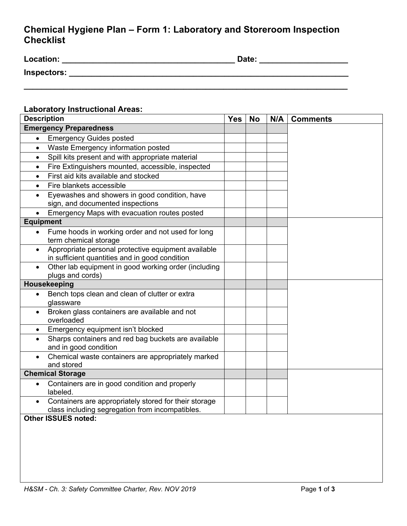## **Chemical Hygiene Plan – Form 1: Laboratory and Storeroom Inspection Checklist**

| <b>Location:</b> | Date: |
|------------------|-------|
| Inspectors:      |       |
|                  |       |

## **Laboratory Instructional Areas:**

| <b>Description</b>                                                                                                 | <b>Yes</b> | <b>No</b> | N/A | <b>Comments</b> |
|--------------------------------------------------------------------------------------------------------------------|------------|-----------|-----|-----------------|
| <b>Emergency Preparedness</b>                                                                                      |            |           |     |                 |
| <b>Emergency Guides posted</b><br>$\bullet$                                                                        |            |           |     |                 |
| Waste Emergency information posted<br>$\bullet$                                                                    |            |           |     |                 |
| Spill kits present and with appropriate material<br>$\bullet$                                                      |            |           |     |                 |
| Fire Extinguishers mounted, accessible, inspected<br>$\bullet$                                                     |            |           |     |                 |
| First aid kits available and stocked<br>$\bullet$                                                                  |            |           |     |                 |
| Fire blankets accessible<br>$\bullet$                                                                              |            |           |     |                 |
| Eyewashes and showers in good condition, have<br>$\bullet$<br>sign, and documented inspections                     |            |           |     |                 |
| Emergency Maps with evacuation routes posted                                                                       |            |           |     |                 |
| <b>Equipment</b>                                                                                                   |            |           |     |                 |
| Fume hoods in working order and not used for long<br>$\bullet$<br>term chemical storage                            |            |           |     |                 |
| Appropriate personal protective equipment available<br>$\bullet$<br>in sufficient quantities and in good condition |            |           |     |                 |
| Other lab equipment in good working order (including<br>$\bullet$<br>plugs and cords)                              |            |           |     |                 |
| Housekeeping                                                                                                       |            |           |     |                 |
| Bench tops clean and clean of clutter or extra<br>$\bullet$<br>glassware                                           |            |           |     |                 |
| Broken glass containers are available and not<br>$\bullet$<br>overloaded                                           |            |           |     |                 |
| Emergency equipment isn't blocked<br>$\bullet$                                                                     |            |           |     |                 |
| Sharps containers and red bag buckets are available<br>$\bullet$<br>and in good condition                          |            |           |     |                 |
| Chemical waste containers are appropriately marked<br>$\bullet$<br>and stored                                      |            |           |     |                 |
| <b>Chemical Storage</b>                                                                                            |            |           |     |                 |
| Containers are in good condition and properly<br>$\bullet$<br>labeled.                                             |            |           |     |                 |
| Containers are appropriately stored for their storage<br>class including segregation from incompatibles.           |            |           |     |                 |
| <b>Other ISSUES noted:</b>                                                                                         |            |           |     |                 |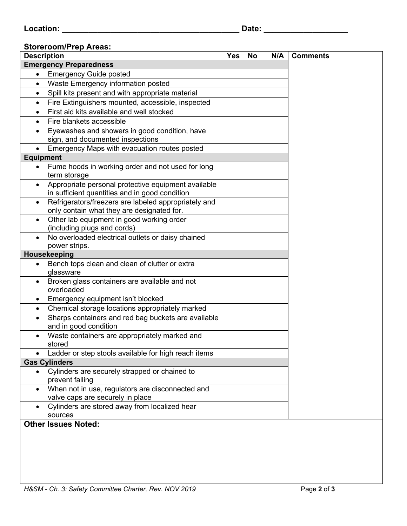## **Storeroom/Prep Areas:**

|                  | <b>Description</b>                                                                                    | <b>Yes</b> | <b>No</b> | N/A | <b>Comments</b> |
|------------------|-------------------------------------------------------------------------------------------------------|------------|-----------|-----|-----------------|
|                  | <b>Emergency Preparedness</b>                                                                         |            |           |     |                 |
| $\bullet$        | <b>Emergency Guide posted</b>                                                                         |            |           |     |                 |
| $\bullet$        | Waste Emergency information posted                                                                    |            |           |     |                 |
| $\bullet$        | Spill kits present and with appropriate material                                                      |            |           |     |                 |
| $\bullet$        | Fire Extinguishers mounted, accessible, inspected                                                     |            |           |     |                 |
| $\bullet$        | First aid kits available and well stocked                                                             |            |           |     |                 |
| $\bullet$        | Fire blankets accessible                                                                              |            |           |     |                 |
| $\bullet$        | Eyewashes and showers in good condition, have<br>sign, and documented inspections                     |            |           |     |                 |
|                  | Emergency Maps with evacuation routes posted                                                          |            |           |     |                 |
| <b>Equipment</b> |                                                                                                       |            |           |     |                 |
| $\bullet$        | Fume hoods in working order and not used for long<br>term storage                                     |            |           |     |                 |
| $\bullet$        | Appropriate personal protective equipment available<br>in sufficient quantities and in good condition |            |           |     |                 |
| $\bullet$        | Refrigerators/freezers are labeled appropriately and<br>only contain what they are designated for.    |            |           |     |                 |
| $\bullet$        | Other lab equipment in good working order<br>(including plugs and cords)                              |            |           |     |                 |
| $\bullet$        | No overloaded electrical outlets or daisy chained<br>power strips.                                    |            |           |     |                 |
|                  | Housekeeping                                                                                          |            |           |     |                 |
| $\bullet$        | Bench tops clean and clean of clutter or extra<br>glassware                                           |            |           |     |                 |
| ٠                | Broken glass containers are available and not<br>overloaded                                           |            |           |     |                 |
| $\bullet$        | Emergency equipment isn't blocked                                                                     |            |           |     |                 |
| $\bullet$        | Chemical storage locations appropriately marked                                                       |            |           |     |                 |
|                  | Sharps containers and red bag buckets are available<br>and in good condition                          |            |           |     |                 |
|                  | Waste containers are appropriately marked and<br>stored                                               |            |           |     |                 |
| ٠                | Ladder or step stools available for high reach items                                                  |            |           |     |                 |
|                  | <b>Gas Cylinders</b>                                                                                  |            |           |     |                 |
| $\bullet$        | Cylinders are securely strapped or chained to<br>prevent falling                                      |            |           |     |                 |
| $\bullet$        | When not in use, regulators are disconnected and<br>valve caps are securely in place                  |            |           |     |                 |
| $\bullet$        | Cylinders are stored away from localized hear<br>sources                                              |            |           |     |                 |
|                  | <b>Other Issues Noted:</b>                                                                            |            |           |     |                 |
|                  |                                                                                                       |            |           |     |                 |